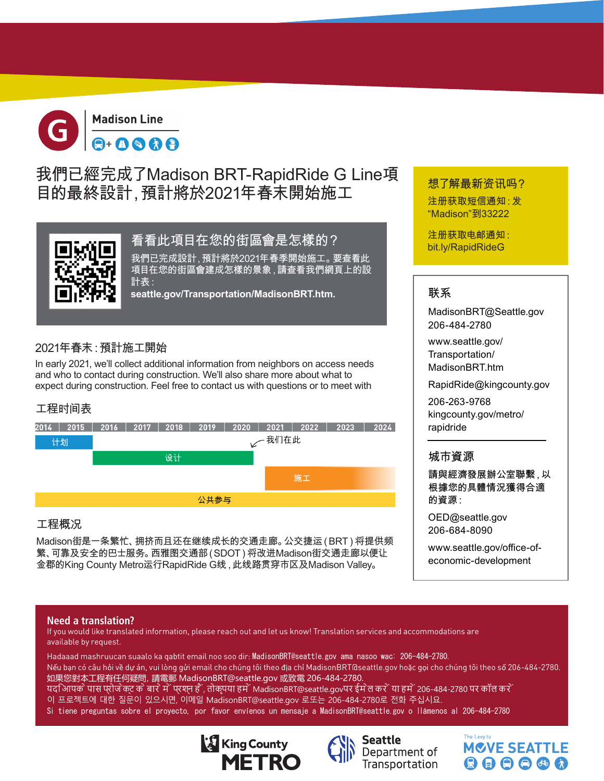

## 我們已經完成了Madison BRT-RapidRide G Line項 目的最終設計,預計將於2021年春末開始施工



### 看看此項目在您的街區會是怎樣的?

我們已完成設計,預計將於2021年春季開始施工。要查看此 項目在您的街區會建成怎樣的景象,請查看我們網頁上的設 計表:

**seattle.gov/Transportation/MadisonBRT.htm.**

### 2021年春末:預計施工開始

In early 2021, we'll collect additional information from neighbors on access needs and who to contact during construction. We'll also share more about what to expect during construction. Feel free to contact us with questions or to meet with

### 工程时间表



### 工程概况

Madison街是一条繁忙、拥挤而且还在继续成长的交通走廊。公交捷运(BRT)将提供频 繁、可靠及安全的巴士服务。西雅图交通部(SDOT)将改进Madison街交通走廊以便让 金郡的King County Metro运行RapidRide G线,此线路贯穿市区及Madison Valley。

# 想了解最新资讯吗?

注册获取短信通知:发 "Madison"到33222

注册获取电邮通知: bit.ly/RapidRideG

### 联系

MadisonBRT@Seattle.gov 206-484-2780

www.seattle.gov/ Transportation/ MadisonBRT.htm

RapidRide@kingcounty.gov

206-263-9768 kingcounty.gov/metro/ rapidride

### 城市資源

請與經濟發展辦公室聯繫,以 根據您的具體情況獲得合適 的資源:

OED@seattle.gov 206-684-8090

www.seattle.gov/office-ofeconomic-development

#### **Need a translation?**

If you would like translated information, please reach out and let us know! Translation services and accommodations are available by request.

Hadaaad mashruucan suaalo ka qabtit email noo soo dir: MadisonBRT@seattle.gov ama nasoo wac: 206-484-2780. Nếu bạn có câu hỏi về dự án, vui lòng gửi email cho chúng tôi theo địa chỉ MadisonBRT@seattle.gov hoặc gọi cho chúng tôi theo số 206-484-2780. 如果您對本工程有任何疑問,請電郵 MadisonBRT@seattle.gov 或致電 206-484-2780. यदआिपक े पास प्रोज ेक्ट क े बार े में 'प्रश्न हैं', तोकृपया हमें 'MadisonBRT@seattle.govपर ईम ेल कर ें य<u>ा हम ें 206-484-2780 पर कॉल कर ें</u>

- 이 프로젝트에 대한 질문이 있으시면, 이메일 MadisonBRT@seattle.gov 로또는 206-484-2780로 전화 주십시요.
- Si tiene preguntas sobre el proyecto, por favor envíenos un mensaje a MadisonBRT@seattle.gov o llámenos al 206-484-2780